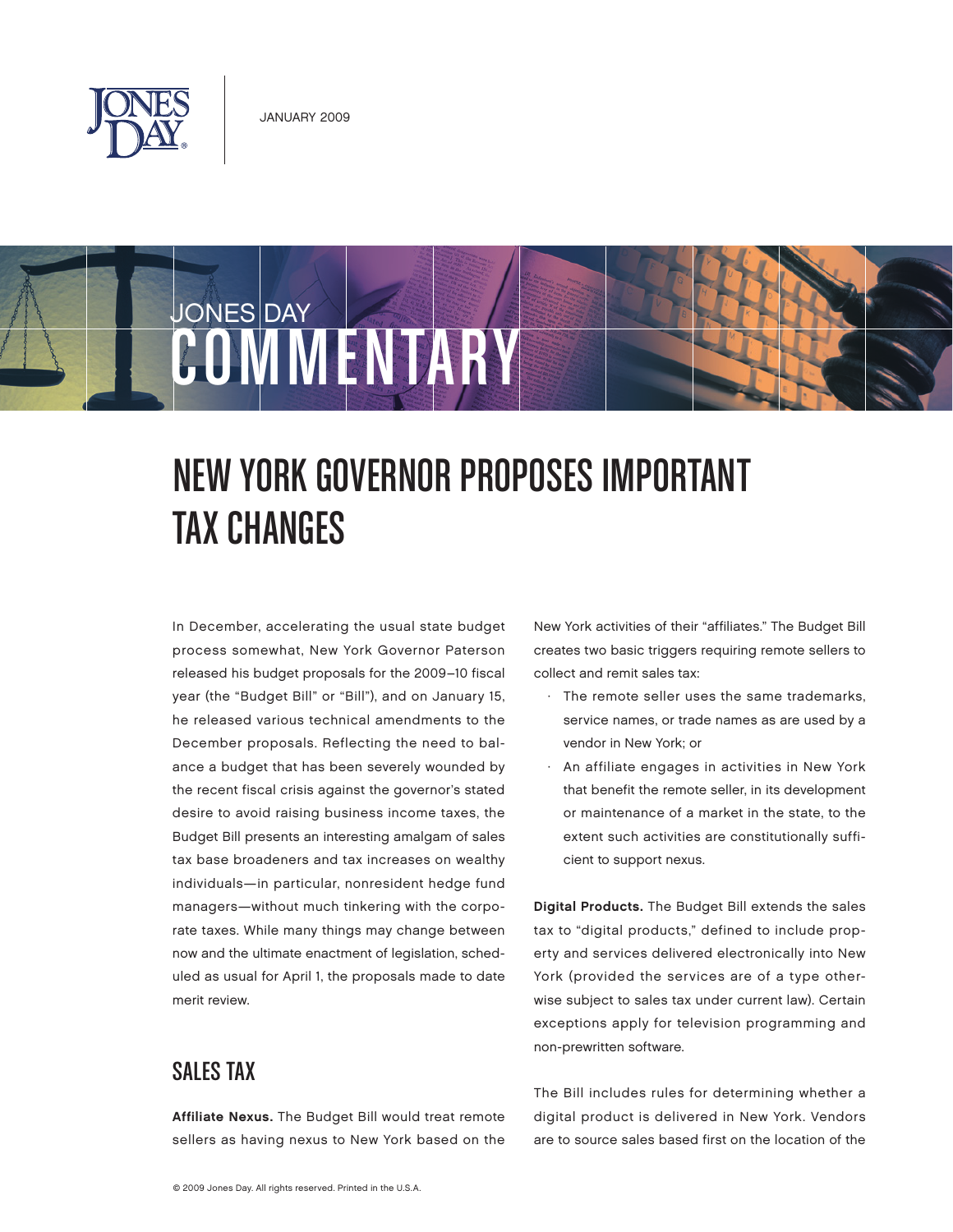

COMMENTARY

JONES DAY

# New York Governor Proposes Important Tax Changes

In December, accelerating the usual state budget process somewhat, New York Governor Paterson released his budget proposals for the 2009–10 fiscal year (the "Budget Bill" or "Bill"), and on January 15, he released various technical amendments to the December proposals. Reflecting the need to balance a budget that has been severely wounded by the recent fiscal crisis against the governor's stated desire to avoid raising business income taxes, the Budget Bill presents an interesting amalgam of sales tax base broadeners and tax increases on wealthy individuals—in particular, nonresident hedge fund managers—without much tinkering with the corporate taxes. While many things may change between now and the ultimate enactment of legislation, scheduled as usual for April 1, the proposals made to date merit review.

## Sales Tax

Affiliate Nexus. The Budget Bill would treat remote sellers as having nexus to New York based on the New York activities of their "affiliates." The Budget Bill creates two basic triggers requiring remote sellers to collect and remit sales tax:

- · The remote seller uses the same trademarks, service names, or trade names as are used by a vendor in New York; or
- · An affiliate engages in activities in New York that benefit the remote seller, in its development or maintenance of a market in the state, to the extent such activities are constitutionally sufficient to support nexus.

Digital Products. The Budget Bill extends the sales tax to "digital products," defined to include property and services delivered electronically into New York (provided the services are of a type otherwise subject to sales tax under current law). Certain exceptions apply for television programming and non-prewritten software.

The Bill includes rules for determining whether a digital product is delivered in New York. Vendors are to source sales based first on the location of the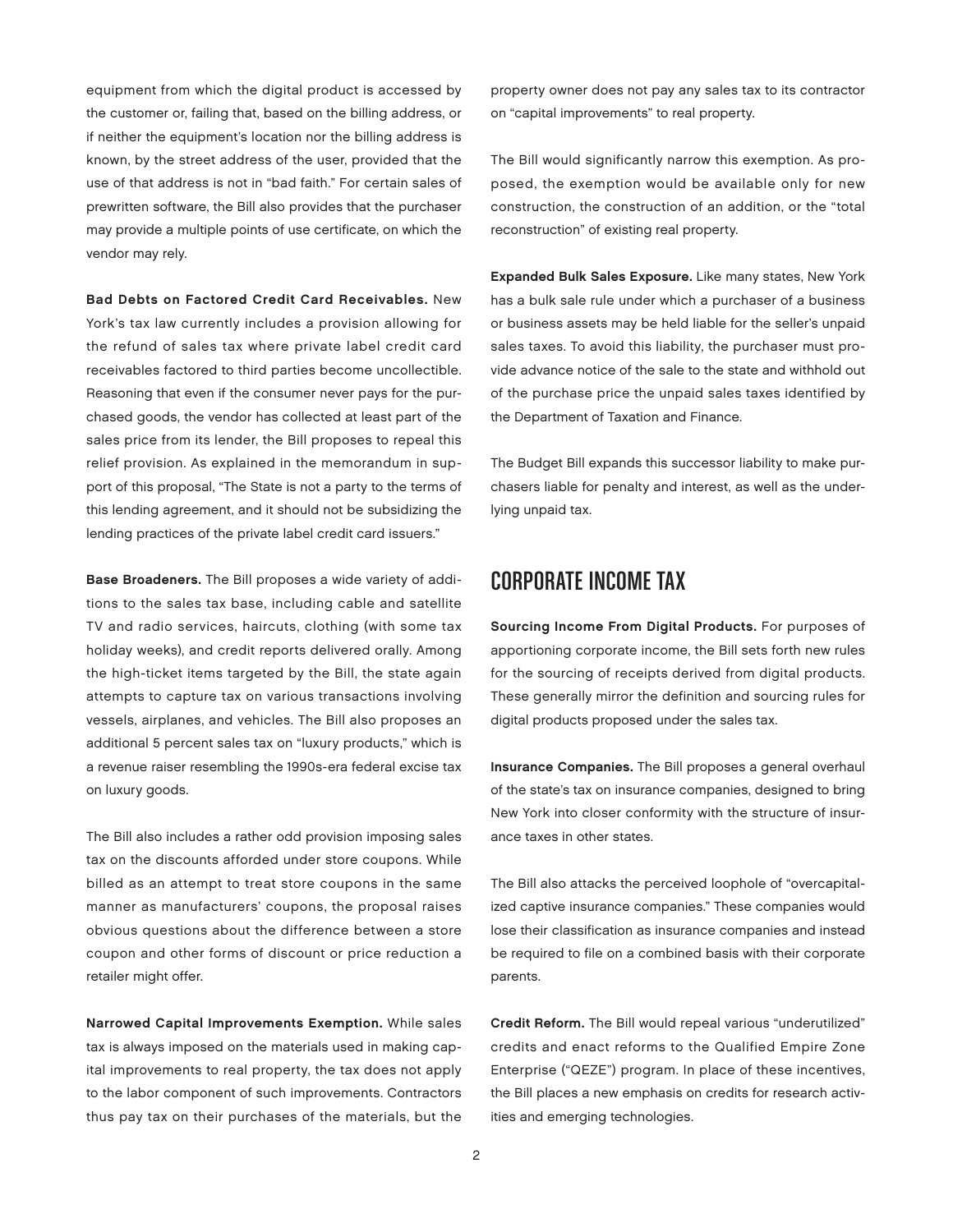equipment from which the digital product is accessed by the customer or, failing that, based on the billing address, or if neither the equipment's location nor the billing address is known, by the street address of the user, provided that the use of that address is not in "bad faith." For certain sales of prewritten software, the Bill also provides that the purchaser may provide a multiple points of use certificate, on which the vendor may rely.

Bad Debts on Factored Credit Card Receivables. New York's tax law currently includes a provision allowing for the refund of sales tax where private label credit card receivables factored to third parties become uncollectible. Reasoning that even if the consumer never pays for the purchased goods, the vendor has collected at least part of the sales price from its lender, the Bill proposes to repeal this relief provision. As explained in the memorandum in support of this proposal, "The State is not a party to the terms of this lending agreement, and it should not be subsidizing the lending practices of the private label credit card issuers."

Base Broadeners. The Bill proposes a wide variety of additions to the sales tax base, including cable and satellite TV and radio services, haircuts, clothing (with some tax holiday weeks), and credit reports delivered orally. Among the high-ticket items targeted by the Bill, the state again attempts to capture tax on various transactions involving vessels, airplanes, and vehicles. The Bill also proposes an additional 5 percent sales tax on "luxury products," which is a revenue raiser resembling the 1990s-era federal excise tax on luxury goods.

The Bill also includes a rather odd provision imposing sales tax on the discounts afforded under store coupons. While billed as an attempt to treat store coupons in the same manner as manufacturers' coupons, the proposal raises obvious questions about the difference between a store coupon and other forms of discount or price reduction a retailer might offer.

Narrowed Capital Improvements Exemption. While sales tax is always imposed on the materials used in making capital improvements to real property, the tax does not apply to the labor component of such improvements. Contractors thus pay tax on their purchases of the materials, but the

property owner does not pay any sales tax to its contractor on "capital improvements" to real property.

The Bill would significantly narrow this exemption. As proposed, the exemption would be available only for new construction, the construction of an addition, or the "total reconstruction" of existing real property.

Expanded Bulk Sales Exposure. Like many states, New York has a bulk sale rule under which a purchaser of a business or business assets may be held liable for the seller's unpaid sales taxes. To avoid this liability, the purchaser must provide advance notice of the sale to the state and withhold out of the purchase price the unpaid sales taxes identified by the Department of Taxation and Finance.

The Budget Bill expands this successor liability to make purchasers liable for penalty and interest, as well as the underlying unpaid tax.

#### Corporate Income Tax

Sourcing Income From Digital Products. For purposes of apportioning corporate income, the Bill sets forth new rules for the sourcing of receipts derived from digital products. These generally mirror the definition and sourcing rules for digital products proposed under the sales tax.

Insurance Companies. The Bill proposes a general overhaul of the state's tax on insurance companies, designed to bring New York into closer conformity with the structure of insurance taxes in other states.

The Bill also attacks the perceived loophole of "overcapitalized captive insurance companies." These companies would lose their classification as insurance companies and instead be required to file on a combined basis with their corporate parents.

Credit Reform. The Bill would repeal various "underutilized" credits and enact reforms to the Qualified Empire Zone Enterprise ("QEZE") program. In place of these incentives, the Bill places a new emphasis on credits for research activities and emerging technologies.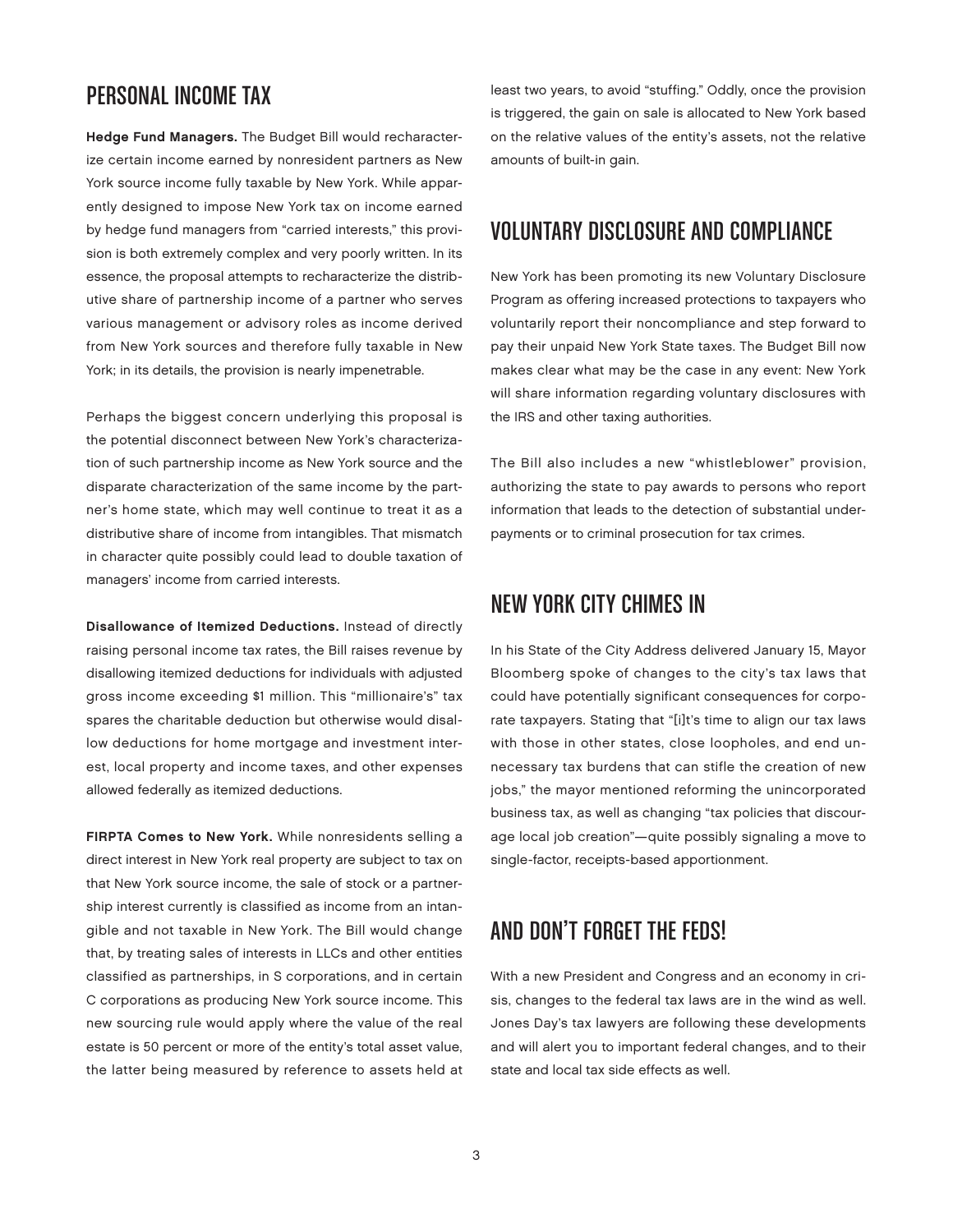### Personal Income Tax

Hedge Fund Managers. The Budget Bill would recharacterize certain income earned by nonresident partners as New York source income fully taxable by New York. While apparently designed to impose New York tax on income earned by hedge fund managers from "carried interests," this provision is both extremely complex and very poorly written. In its essence, the proposal attempts to recharacterize the distributive share of partnership income of a partner who serves various management or advisory roles as income derived from New York sources and therefore fully taxable in New York; in its details, the provision is nearly impenetrable.

Perhaps the biggest concern underlying this proposal is the potential disconnect between New York's characterization of such partnership income as New York source and the disparate characterization of the same income by the partner's home state, which may well continue to treat it as a distributive share of income from intangibles. That mismatch in character quite possibly could lead to double taxation of managers' income from carried interests.

Disallowance of Itemized Deductions. Instead of directly raising personal income tax rates, the Bill raises revenue by disallowing itemized deductions for individuals with adjusted gross income exceeding \$1 million. This "millionaire's" tax spares the charitable deduction but otherwise would disallow deductions for home mortgage and investment interest, local property and income taxes, and other expenses allowed federally as itemized deductions.

FIRPTA Comes to New York. While nonresidents selling a direct interest in New York real property are subject to tax on that New York source income, the sale of stock or a partnership interest currently is classified as income from an intangible and not taxable in New York. The Bill would change that, by treating sales of interests in LLCs and other entities classified as partnerships, in S corporations, and in certain C corporations as producing New York source income. This new sourcing rule would apply where the value of the real estate is 50 percent or more of the entity's total asset value, the latter being measured by reference to assets held at least two years, to avoid "stuffing." Oddly, once the provision is triggered, the gain on sale is allocated to New York based on the relative values of the entity's assets, not the relative amounts of built-in gain.

#### Voluntary Disclosure and Compliance

New York has been promoting its new Voluntary Disclosure Program as offering increased protections to taxpayers who voluntarily report their noncompliance and step forward to pay their unpaid New York State taxes. The Budget Bill now makes clear what may be the case in any event: New York will share information regarding voluntary disclosures with the IRS and other taxing authorities.

The Bill also includes a new "whistleblower" provision, authorizing the state to pay awards to persons who report information that leads to the detection of substantial underpayments or to criminal prosecution for tax crimes.

## New York City Chimes In

In his State of the City Address delivered January 15, Mayor Bloomberg spoke of changes to the city's tax laws that could have potentially significant consequences for corporate taxpayers. Stating that "[i]t's time to align our tax laws with those in other states, close loopholes, and end unnecessary tax burdens that can stifle the creation of new jobs," the mayor mentioned reforming the unincorporated business tax, as well as changing "tax policies that discourage local job creation"—quite possibly signaling a move to single-factor, receipts-based apportionment.

## And Don't Forget the Feds!

With a new President and Congress and an economy in crisis, changes to the federal tax laws are in the wind as well. Jones Day's tax lawyers are following these developments and will alert you to important federal changes, and to their state and local tax side effects as well.